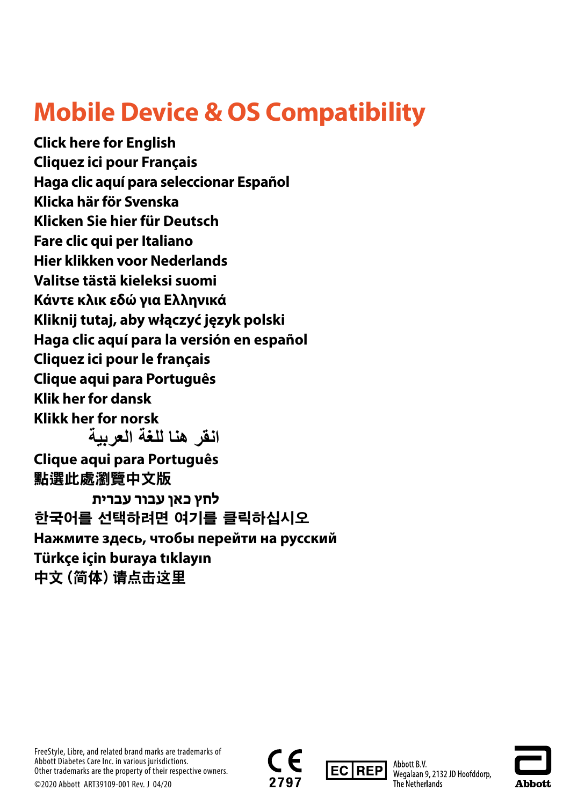## **Mobile Device & OS Compatibility**

**[Click here for English](#page-1-0) [Cliquez ici pour Français](#page-2-0) [Haga clic aquí para seleccionar Español](#page-3-0) [Klicka här för Svenska](#page-4-0) [Klicken Sie hier für Deutsch](#page-5-0) [Fare clic qui per Italiano](#page-6-0) [Hier klikken voor Nederlands](#page-7-0) [Valitse tästä kieleksi suomi](#page-8-0) [Κάντε κλικ εδώ για Ελληνικά](#page-9-0) [Kliknij tutaj, aby włączyć język polski](#page-10-0) [Haga clic aquí para la versión en español](#page-11-0) [Cliquez ici pour le français](#page-12-0) [Clique aqui para Português](#page-13-0) [Klik her for dansk](#page-14-0) [Klikk her for norsk](#page-15-0) [Clique aqui para Português](#page-17-0)** [點選此處瀏覽中文版](#page-18-0) **[לחץ כאן עבור עברית](#page-19-0) [한국어를 선택하려면 여기를 클릭하십시오](#page-20-0) [Нажмите здесь, чтобы перейти на русский](#page-21-0) [Türkçe için buraya tıklayın](#page-22-0)** [中文\(简体\)请点击这里](#page-23-0) **[انقر ھنا للغة العربیة](#page-16-0)**

FreeStyle, Libre, and related brand marks are trademarks of Abbott Diabetes Care Inc. in various jurisdictions. Other trademarks are the property of their respective owners. ©2020 Abbott ART39109-001 Rev. J 04/20





Abbott B.V. Wegalaan 9, 2132 JD Hoofddorp, The Netherlands

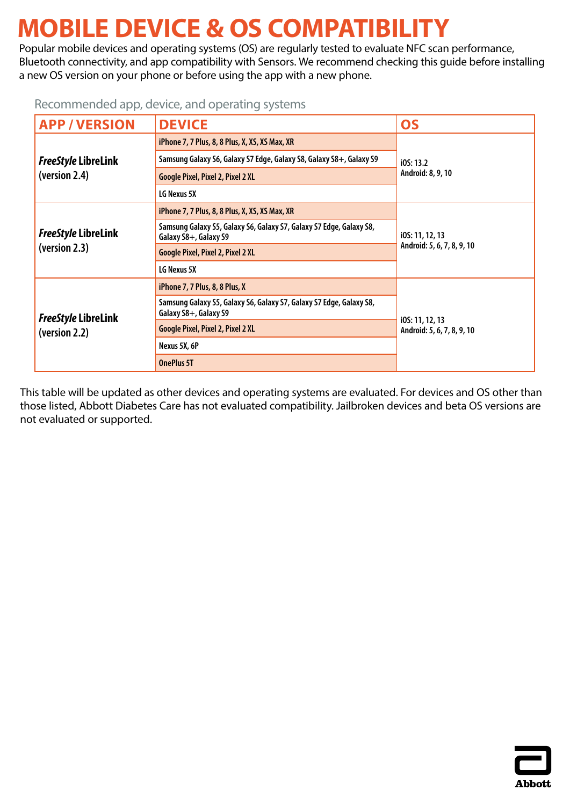# <span id="page-1-0"></span>**MOBILE DEVICE & OS COMPATIBILITY**

Popular mobile devices and operating systems (OS) are regularly tested to evaluate NFC scan performance, Bluetooth connectivity, and app compatibility with Sensors. We recommend checking this guide before installing a new OS version on your phone or before using the app with a new phone.

### Recommended app, device, and operating systems

| <b>APP/VERSION</b>                          | <b>DEVICE</b>                                                                                | <b>OS</b>                                     |
|---------------------------------------------|----------------------------------------------------------------------------------------------|-----------------------------------------------|
|                                             | iPhone 7, 7 Plus, 8, 8 Plus, X, XS, XS Max, XR                                               | iOS: 13.2                                     |
| <b>FreeStyle LibreLink</b>                  | Samsung Galaxy S6, Galaxy S7 Edge, Galaxy S8, Galaxy S8+, Galaxy S9                          |                                               |
| (version 2.4)                               | <b>Google Pixel, Pixel 2, Pixel 2 XL</b>                                                     | Android: 8, 9, 10                             |
|                                             | <b>LG Nexus 5X</b>                                                                           |                                               |
| <b>FreeStyle LibreLink</b><br>(version 2.3) | iPhone 7, 7 Plus, 8, 8 Plus, X, XS, XS Max, XR                                               |                                               |
|                                             | Samsung Galaxy S5, Galaxy S6, Galaxy S7, Galaxy S7 Edge, Galaxy S8,<br>Galaxy S8+, Galaxy S9 | i0S: 11, 12, 13<br>Android: 5, 6, 7, 8, 9, 10 |
|                                             | <b>Google Pixel, Pixel 2, Pixel 2 XL</b>                                                     |                                               |
|                                             | LG Nexus 5X                                                                                  |                                               |
| <b>FreeStyle LibreLink</b><br>(version 2.2) | iPhone 7, 7 Plus, 8, 8 Plus, X                                                               |                                               |
|                                             | Samsung Galaxy S5, Galaxy S6, Galaxy S7, Galaxy S7 Edge, Galaxy S8,<br>Galaxy S8+, Galaxy S9 | i0S: 11, 12, 13                               |
|                                             | <b>Google Pixel, Pixel 2, Pixel 2 XL</b>                                                     | Android: 5, 6, 7, 8, 9, 10                    |
|                                             | Nexus 5X, 6P                                                                                 |                                               |
|                                             | <b>OnePlus 5T</b>                                                                            |                                               |

This table will be updated as other devices and operating systems are evaluated. For devices and OS other than those listed, Abbott Diabetes Care has not evaluated compatibility. Jailbroken devices and beta OS versions are not evaluated or supported.

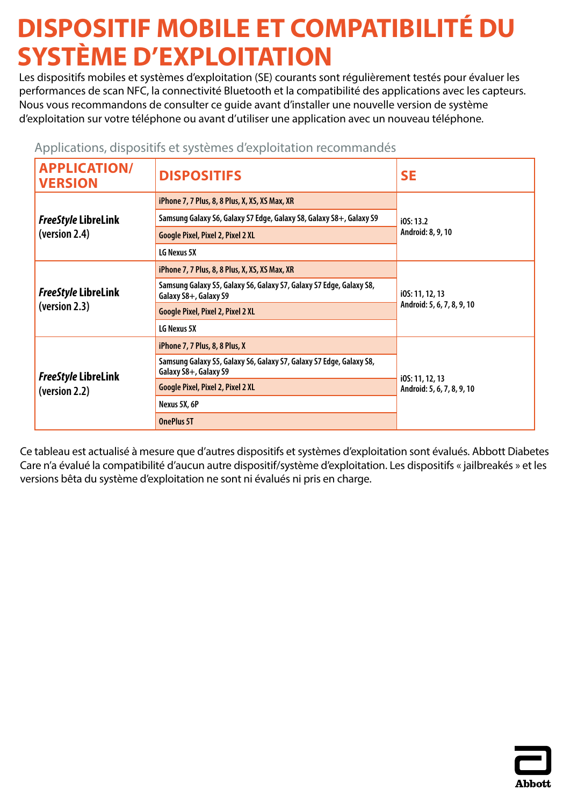# <span id="page-2-0"></span>**DISPOSITIF MOBILE ET COMPATIBILITÉ DU SYSTÈME D'EXPLOITATION**

Les dispositifs mobiles et systèmes d'exploitation (SE) courants sont régulièrement testés pour évaluer les performances de scan NFC, la connectivité Bluetooth et la compatibilité des applications avec les capteurs. Nous vous recommandons de consulter ce guide avant d'installer une nouvelle version de système d'exploitation sur votre téléphone ou avant d'utiliser une application avec un nouveau téléphone.

| <b>APPLICATION/</b><br><b>VERSION</b>       | <b>DISPOSITIFS</b>                                                                           | <b>SE</b>                                     |
|---------------------------------------------|----------------------------------------------------------------------------------------------|-----------------------------------------------|
|                                             | iPhone 7, 7 Plus, 8, 8 Plus, X, XS, XS Max, XR                                               | iOS: 13.2                                     |
| <b>FreeStyle LibreLink</b>                  | Samsung Galaxy S6, Galaxy S7 Edge, Galaxy S8, Galaxy S8+, Galaxy S9                          |                                               |
| (version 2.4)                               | <b>Google Pixel, Pixel 2, Pixel 2 XL</b>                                                     | Android: 8, 9, 10                             |
|                                             | LG Nexus 5X                                                                                  |                                               |
| <b>FreeStyle LibreLink</b><br>(version 2.3) | iPhone 7, 7 Plus, 8, 8 Plus, X, XS, XS Max, XR                                               | i0S: 11, 12, 13<br>Android: 5, 6, 7, 8, 9, 10 |
|                                             | Samsung Galaxy S5, Galaxy S6, Galaxy S7, Galaxy S7 Edge, Galaxy S8,<br>Galaxy S8+, Galaxy S9 |                                               |
|                                             | <b>Google Pixel, Pixel 2, Pixel 2 XL</b>                                                     |                                               |
|                                             | LG Nexus 5X                                                                                  |                                               |
|                                             | iPhone 7, 7 Plus, 8, 8 Plus, X                                                               |                                               |
| <b>FreeStyle LibreLink</b><br>(version 2.2) | Samsung Galaxy S5, Galaxy S6, Galaxy S7, Galaxy S7 Edge, Galaxy S8,<br>Galaxy S8+, Galaxy S9 |                                               |
|                                             | <b>Google Pixel, Pixel 2, Pixel 2 XL</b>                                                     | i0S: 11, 12, 13<br>Android: 5, 6, 7, 8, 9, 10 |
|                                             | Nexus 5X, 6P                                                                                 |                                               |
|                                             | <b>OnePlus 5T</b>                                                                            |                                               |

### Applications, dispositifs et systèmes d'exploitation recommandés

Ce tableau est actualisé à mesure que d'autres dispositifs et systèmes d'exploitation sont évalués. Abbott Diabetes Care n'a évalué la compatibilité d'aucun autre dispositif/système d'exploitation. Les dispositifs « jailbreakés » et les versions bêta du système d'exploitation ne sont ni évalués ni pris en charge.

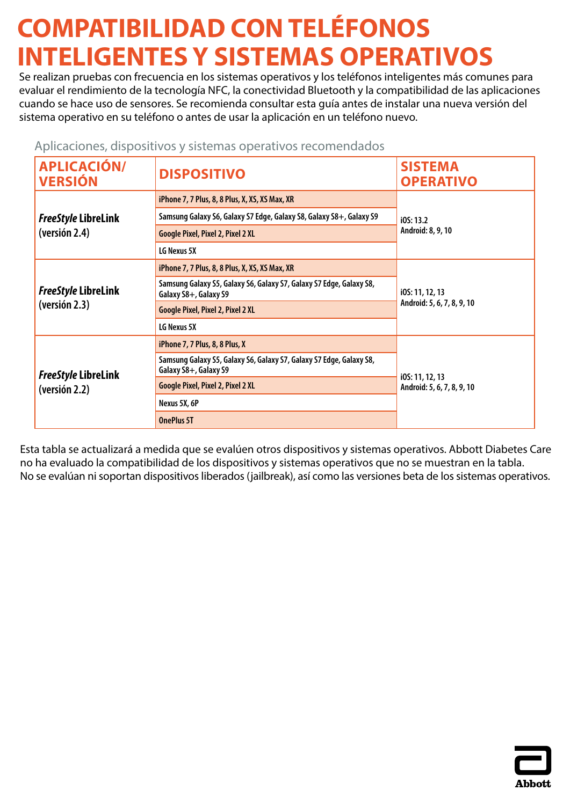# <span id="page-3-0"></span>**COMPATIBILIDAD CON TELÉFONOS INTELIGENTES Y SISTEMAS OPERATIVOS**

Se realizan pruebas con frecuencia en los sistemas operativos y los teléfonos inteligentes más comunes para evaluar el rendimiento de la tecnología NFC, la conectividad Bluetooth y la compatibilidad de las aplicaciones cuando se hace uso de sensores. Se recomienda consultar esta guía antes de instalar una nueva versión del sistema operativo en su teléfono o antes de usar la aplicación en un teléfono nuevo.

### Aplicaciones, dispositivos y sistemas operativos recomendados

| <b>APLICACIÓN/</b><br><b>VERSIÓN</b>        | <b>DISPOSITIVO</b>                                                                           | <b>SISTEMA</b><br><b>OPERATIVO</b> |
|---------------------------------------------|----------------------------------------------------------------------------------------------|------------------------------------|
|                                             | iPhone 7, 7 Plus, 8, 8 Plus, X, XS, XS Max, XR                                               |                                    |
| <b>FreeStyle LibreLink</b>                  | Samsung Galaxy S6, Galaxy S7 Edge, Galaxy S8, Galaxy S8+, Galaxy S9                          | i05:13.2                           |
| (version 2.4)                               | <b>Google Pixel, Pixel 2, Pixel 2 XL</b>                                                     | Android: 8, 9, 10                  |
|                                             | LG Nexus 5X                                                                                  |                                    |
| <b>FreeStyle LibreLink</b><br>(versión 2.3) | iPhone 7, 7 Plus, 8, 8 Plus, X, XS, XS Max, XR                                               |                                    |
|                                             | Samsung Galaxy S5, Galaxy S6, Galaxy S7, Galaxy S7 Edge, Galaxy S8,<br>Galaxy S8+, Galaxy S9 | i0S: 11, 12, 13                    |
|                                             | <b>Google Pixel, Pixel 2, Pixel 2 XL</b>                                                     | Android: 5, 6, 7, 8, 9, 10         |
|                                             | LG Nexus 5X                                                                                  |                                    |
| <b>FreeStyle LibreLink</b><br>(versión 2.2) | iPhone 7, 7 Plus, 8, 8 Plus, X                                                               |                                    |
|                                             | Samsung Galaxy S5, Galaxy S6, Galaxy S7, Galaxy S7 Edge, Galaxy S8,<br>Galaxy S8+, Galaxy S9 | i0S: 11, 12, 13                    |
|                                             | <b>Google Pixel, Pixel 2, Pixel 2 XL</b>                                                     | Android: 5, 6, 7, 8, 9, 10         |
|                                             | Nexus 5X, 6P                                                                                 |                                    |
|                                             | <b>OnePlus 5T</b>                                                                            |                                    |

Esta tabla se actualizará a medida que se evalúen otros dispositivos y sistemas operativos. Abbott Diabetes Care no ha evaluado la compatibilidad de los dispositivos y sistemas operativos que no se muestran en la tabla. No se evalúan ni soportan dispositivos liberados (jailbreak), así como las versiones beta de los sistemas operativos.

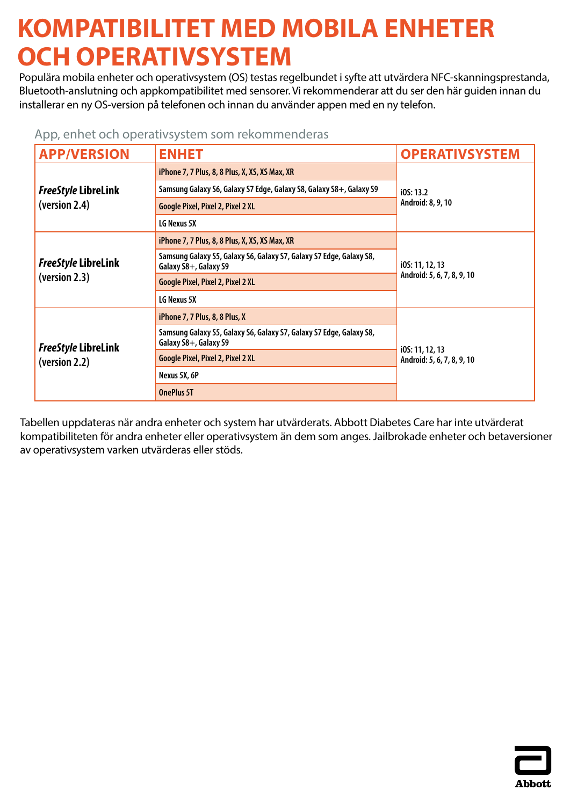## <span id="page-4-0"></span>**KOMPATIBILITET MED MOBILA ENHETER OCH OPERATIVSYSTEM**

Populära mobila enheter och operativsystem (OS) testas regelbundet i syfte att utvärdera NFC-skanningsprestanda, Bluetooth-anslutning och appkompatibilitet med sensorer. Vi rekommenderar att du ser den här guiden innan du installerar en ny OS-version på telefonen och innan du använder appen med en ny telefon.

| App, enhet och operativsystem som rekommenderas |  |  |  |
|-------------------------------------------------|--|--|--|
|-------------------------------------------------|--|--|--|

| <b>APP/VERSION</b>                          | <b>ENHET</b>                                                                                 | <b>OPERATIVSYSTEM</b>                         |
|---------------------------------------------|----------------------------------------------------------------------------------------------|-----------------------------------------------|
|                                             | iPhone 7, 7 Plus, 8, 8 Plus, X, XS, XS Max, XR                                               | IOS: 13.2                                     |
| <b>FreeStyle LibreLink</b>                  | Samsung Galaxy S6, Galaxy S7 Edge, Galaxy S8, Galaxy S8+, Galaxy S9                          |                                               |
| (version 2.4)                               | Google Pixel, Pixel 2, Pixel 2 XL                                                            | Android: 8, 9, 10                             |
|                                             | LG Nexus 5X                                                                                  |                                               |
| <b>FreeStyle LibreLink</b><br>(version 2.3) | iPhone 7, 7 Plus, 8, 8 Plus, X, XS, XS Max, XR                                               | i0S: 11, 12, 13<br>Android: 5, 6, 7, 8, 9, 10 |
|                                             | Samsung Galaxy S5, Galaxy S6, Galaxy S7, Galaxy S7 Edge, Galaxy S8,<br>Galaxy S8+, Galaxy S9 |                                               |
|                                             | <b>Google Pixel, Pixel 2, Pixel 2 XL</b>                                                     |                                               |
|                                             | LG Nexus 5X                                                                                  |                                               |
| <b>FreeStyle LibreLink</b><br>(version 2.2) | iPhone 7, 7 Plus, 8, 8 Plus, X                                                               | i0S: 11, 12, 13                               |
|                                             | Samsung Galaxy S5, Galaxy S6, Galaxy S7, Galaxy S7 Edge, Galaxy S8,<br>Galaxy S8+, Galaxy S9 |                                               |
|                                             | Google Pixel, Pixel 2, Pixel 2 XL                                                            | Android: 5, 6, 7, 8, 9, 10                    |
|                                             | Nexus 5X, 6P                                                                                 |                                               |
|                                             | <b>OnePlus 5T</b>                                                                            |                                               |

Tabellen uppdateras när andra enheter och system har utvärderats. Abbott Diabetes Care har inte utvärderat kompatibiliteten för andra enheter eller operativsystem än dem som anges. Jailbrokade enheter och betaversioner av operativsystem varken utvärderas eller stöds.

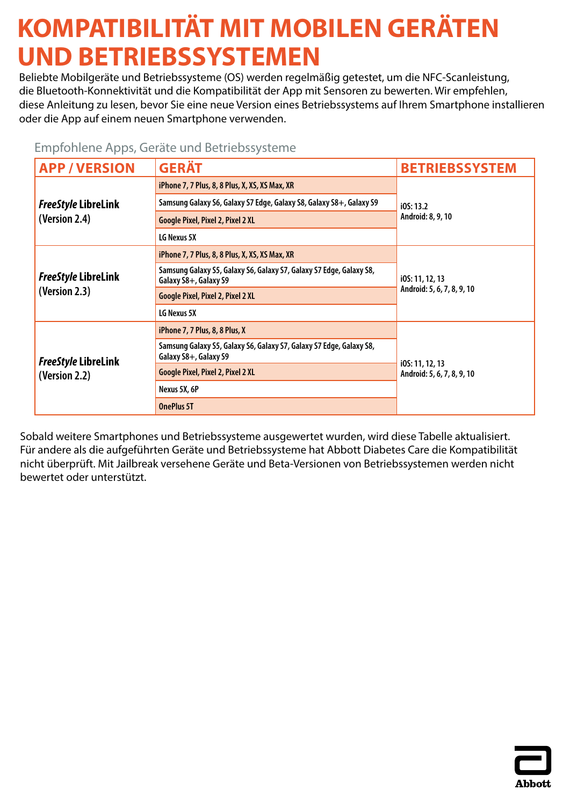# <span id="page-5-0"></span>**KOMPATIBILITÄT MIT MOBILEN GERÄTEN UND BETRIEBSSYSTEMEN**

Beliebte Mobilgeräte und Betriebssysteme (OS) werden regelmäßig getestet, um die NFC-Scanleistung, die Bluetooth-Konnektivität und die Kompatibilität der App mit Sensoren zu bewerten. Wir empfehlen, diese Anleitung zu lesen, bevor Sie eine neue Version eines Betriebssystems auf Ihrem Smartphone installieren oder die App auf einem neuen Smartphone verwenden.

| <b>APP/VERSION</b>                          | Lindroment had derate and betherssysteme<br><b>GERÄT</b>                                     | <b>BETRIEBSSYSTEM</b>                         |
|---------------------------------------------|----------------------------------------------------------------------------------------------|-----------------------------------------------|
| <b>FreeStyle LibreLink</b>                  | iPhone 7, 7 Plus, 8, 8 Plus, X, XS, XS Max, XR                                               | iOS: 13.2                                     |
|                                             | Samsung Galaxy S6, Galaxy S7 Edge, Galaxy S8, Galaxy S8+, Galaxy S9                          |                                               |
| (Version 2.4)                               | <b>Google Pixel, Pixel 2, Pixel 2 XL</b>                                                     | Android: 8, 9, 10                             |
|                                             | LG Nexus 5X                                                                                  |                                               |
| <b>FreeStyle LibreLink</b><br>(Version 2.3) | iPhone 7, 7 Plus, 8, 8 Plus, X, XS, XS Max, XR                                               | i0S: 11, 12, 13<br>Android: 5, 6, 7, 8, 9, 10 |
|                                             | Samsung Galaxy S5, Galaxy S6, Galaxy S7, Galaxy S7 Edge, Galaxy S8,<br>Galaxy S8+, Galaxy S9 |                                               |
|                                             | <b>Google Pixel, Pixel 2, Pixel 2 XL</b>                                                     |                                               |
|                                             | LG Nexus 5X                                                                                  |                                               |
|                                             | iPhone 7, 7 Plus, 8, 8 Plus, X                                                               |                                               |
| <b>FreeStyle LibreLink</b><br>(Version 2.2) | Samsung Galaxy S5, Galaxy S6, Galaxy S7, Galaxy S7 Edge, Galaxy S8,<br>Galaxy S8+, Galaxy S9 |                                               |
|                                             | <b>Google Pixel, Pixel 2, Pixel 2 XL</b>                                                     | i0S: 11, 12, 13<br>Android: 5, 6, 7, 8, 9, 10 |
|                                             | Nexus 5X, 6P                                                                                 |                                               |
|                                             | <b>OnePlus 5T</b>                                                                            |                                               |

### Empfohlene Apps, Geräte und Betriebssysteme

Sobald weitere Smartphones und Betriebssysteme ausgewertet wurden, wird diese Tabelle aktualisiert. Für andere als die aufgeführten Geräte und Betriebssysteme hat Abbott Diabetes Care die Kompatibilität nicht überprüft. Mit Jailbreak versehene Geräte und Beta-Versionen von Betriebssystemen werden nicht bewertet oder unterstützt.

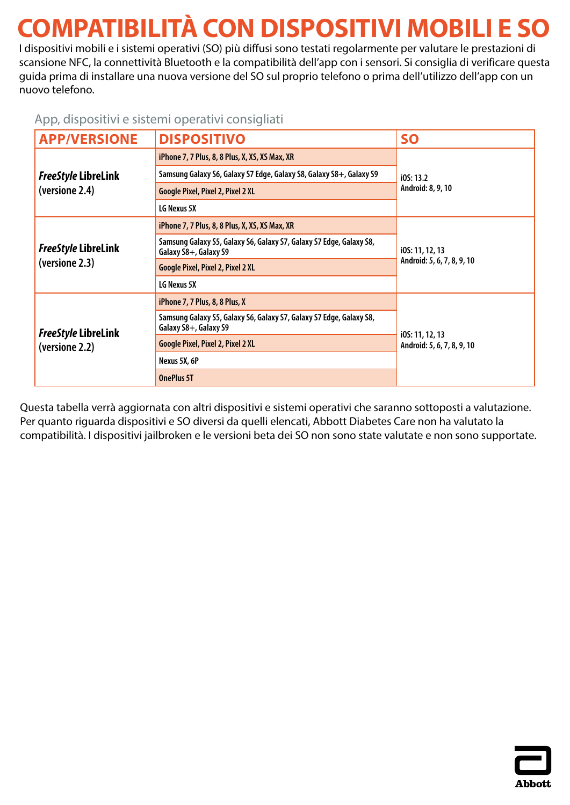# <span id="page-6-0"></span>**COMPATIBILITÀ CON DISPOSITIVI MOBILI E SO**

I dispositivi mobili e i sistemi operativi (SO) più diffusi sono testati regolarmente per valutare le prestazioni di scansione NFC, la connettività Bluetooth e la compatibilità dell'app con i sensori. Si consiglia di verificare questa guida prima di installare una nuova versione del SO sul proprio telefono o prima dell'utilizzo dell'app con un nuovo telefono.

### App, dispositivi e sistemi operativi consigliati

| <b>APP/VERSIONE</b>                          | <b>DISPOSITIVO</b>                                                                           | <b>SO</b>                                     |
|----------------------------------------------|----------------------------------------------------------------------------------------------|-----------------------------------------------|
|                                              | iPhone 7, 7 Plus, 8, 8 Plus, X, XS, XS Max, XR                                               | iOS: 13.2                                     |
| <b>FreeStyle LibreLink</b>                   | Samsung Galaxy S6, Galaxy S7 Edge, Galaxy S8, Galaxy S8+, Galaxy S9                          |                                               |
| (versione 2.4)                               | <b>Google Pixel, Pixel 2, Pixel 2 XL</b>                                                     | Android: 8, 9, 10                             |
|                                              | LG Nexus 5X                                                                                  |                                               |
| <b>FreeStyle LibreLink</b>                   | iPhone 7, 7 Plus, 8, 8 Plus, X, XS, XS Max, XR                                               |                                               |
|                                              | Samsung Galaxy S5, Galaxy S6, Galaxy S7, Galaxy S7 Edge, Galaxy S8,<br>Galaxy S8+, Galaxy S9 | i0S: 11, 12, 13<br>Android: 5, 6, 7, 8, 9, 10 |
| (versione 2.3)                               | Google Pixel, Pixel 2, Pixel 2 XL                                                            |                                               |
|                                              | LG Nexus 5X                                                                                  |                                               |
|                                              | iPhone 7, 7 Plus, 8, 8 Plus, X                                                               |                                               |
| <b>FreeStyle LibreLink</b><br>(versione 2.2) | Samsung Galaxy S5, Galaxy S6, Galaxy S7, Galaxy S7 Edge, Galaxy S8,<br>Galaxy S8+, Galaxy S9 |                                               |
|                                              | Google Pixel, Pixel 2, Pixel 2 XL                                                            | i0S: 11, 12, 13<br>Android: 5, 6, 7, 8, 9, 10 |
|                                              | Nexus 5X, 6P                                                                                 |                                               |
|                                              | <b>OnePlus 5T</b>                                                                            |                                               |

Questa tabella verrà aggiornata con altri dispositivi e sistemi operativi che saranno sottoposti a valutazione. Per quanto riguarda dispositivi e SO diversi da quelli elencati, Abbott Diabetes Care non ha valutato la compatibilità. I dispositivi jailbroken e le versioni beta dei SO non sono state valutate e non sono supportate.

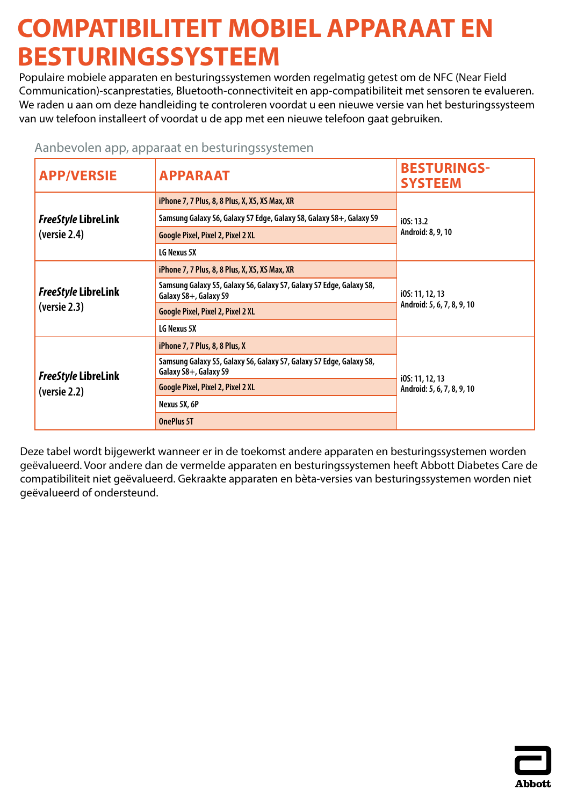### <span id="page-7-0"></span>**COMPATIBILITEIT MOBIEL APPARAAT EN BESTURINGSSYSTEEM**

Populaire mobiele apparaten en besturingssystemen worden regelmatig getest om de NFC (Near Field Communication)-scanprestaties, Bluetooth-connectiviteit en app-compatibiliteit met sensoren te evalueren. We raden u aan om deze handleiding te controleren voordat u een nieuwe versie van het besturingssysteem van uw telefoon installeert of voordat u de app met een nieuwe telefoon gaat gebruiken.

| <b>APP/VERSIE</b>                                 | <b>APPARAAT</b>                                                                              | <b>BESTURINGS-</b><br><b>SYSTEEM</b>          |
|---------------------------------------------------|----------------------------------------------------------------------------------------------|-----------------------------------------------|
|                                                   | iPhone 7, 7 Plus, 8, 8 Plus, X, XS, XS Max, XR                                               |                                               |
| <b>FreeStyle LibreLink</b>                        | Samsung Galaxy S6, Galaxy S7 Edge, Galaxy S8, Galaxy S8+, Galaxy S9                          | i05:13.2                                      |
| ( <b>verse</b> 2.4)                               | <b>Google Pixel, Pixel 2, Pixel 2 XL</b>                                                     | Android: 8, 9, 10                             |
|                                                   | LG Nexus 5X                                                                                  |                                               |
| <b>FreeStyle LibreLink</b><br>( <b>verse</b> 2.3) | iPhone 7, 7 Plus, 8, 8 Plus, X, XS, XS Max, XR                                               |                                               |
|                                                   | Samsung Galaxy S5, Galaxy S6, Galaxy S7, Galaxy S7 Edge, Galaxy S8,<br>Galaxy S8+, Galaxy S9 | i0S: 11, 12, 13<br>Android: 5, 6, 7, 8, 9, 10 |
|                                                   | <b>Google Pixel, Pixel 2, Pixel 2 XL</b>                                                     |                                               |
|                                                   | LG Nexus 5X                                                                                  |                                               |
|                                                   | iPhone 7, 7 Plus, 8, 8 Plus, X                                                               |                                               |
| <b>FreeStyle LibreLink</b><br>( <b>verse</b> 2.2) | Samsung Galaxy S5, Galaxy S6, Galaxy S7, Galaxy S7 Edge, Galaxy S8,<br>Galaxy S8+, Galaxy S9 | i0S: 11, 12, 13                               |
|                                                   | <b>Google Pixel, Pixel 2, Pixel 2 XL</b>                                                     | Android: 5, 6, 7, 8, 9, 10                    |
|                                                   | Nexus 5X, 6P                                                                                 |                                               |
|                                                   | <b>OnePlus 5T</b>                                                                            |                                               |

#### Aanbevolen app, apparaat en besturingssystemen

Deze tabel wordt bijgewerkt wanneer er in de toekomst andere apparaten en besturingssystemen worden geëvalueerd. Voor andere dan de vermelde apparaten en besturingssystemen heeft Abbott Diabetes Care de compatibiliteit niet geëvalueerd. Gekraakte apparaten en bèta-versies van besturingssystemen worden niet geëvalueerd of ondersteund.

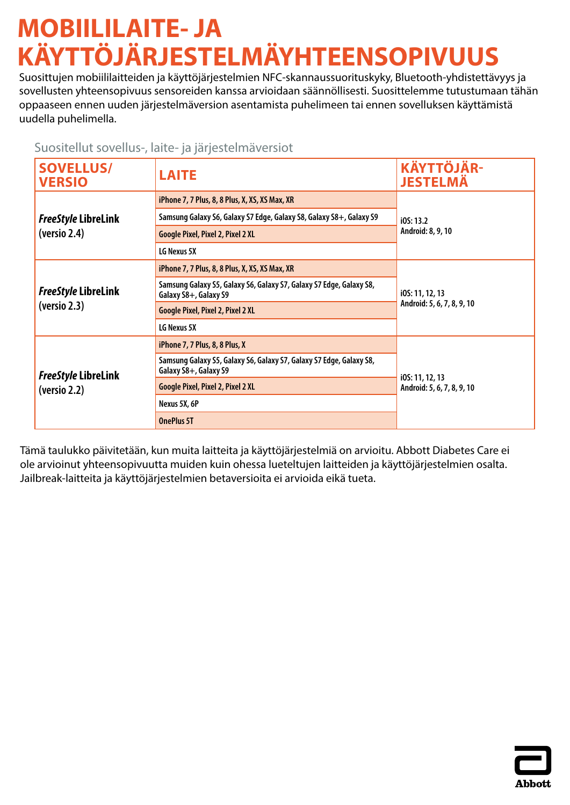# <span id="page-8-0"></span>**MOBIILILAITE- JA KÄYTTÖJÄRJESTELMÄYHTEENSOPIVUUS**

Suosittujen mobiililaitteiden ja käyttöjärjestelmien NFC-skannaussuorituskyky, Bluetooth-yhdistettävyys ja sovellusten yhteensopivuus sensoreiden kanssa arvioidaan säännöllisesti. Suosittelemme tutustumaan tähän oppaaseen ennen uuden järjestelmäversion asentamista puhelimeen tai ennen sovelluksen käyttämistä uudella puhelimella.

### Suositellut sovellus-, laite- ja järjestelmäversiot

| <b>SOVELLUS/</b><br><b>VERSIO</b>                   | <b>LAITE</b>                                                                                 | <b>KÄYTTÖJÄR-</b><br><b>JESTELMÄ</b>          |
|-----------------------------------------------------|----------------------------------------------------------------------------------------------|-----------------------------------------------|
|                                                     | iPhone 7, 7 Plus, 8, 8 Plus, X, XS, XS Max, XR                                               |                                               |
| <b>FreeStyle LibreLink</b>                          | Samsung Galaxy S6, Galaxy S7 Edge, Galaxy S8, Galaxy S8+, Galaxy S9                          | IOS: 13.2                                     |
| ( <b>version</b> 2.4)                               | Google Pixel, Pixel 2, Pixel 2 XL                                                            | Android: 8, 9, 10                             |
|                                                     | LG Nexus 5X                                                                                  |                                               |
| <b>FreeStyle LibreLink</b><br>( <b>version</b> 2.3) | iPhone 7, 7 Plus, 8, 8 Plus, X, XS, XS Max, XR                                               | i0S: 11, 12, 13<br>Android: 5, 6, 7, 8, 9, 10 |
|                                                     | Samsung Galaxy S5, Galaxy S6, Galaxy S7, Galaxy S7 Edge, Galaxy S8,<br>Galaxy S8+, Galaxy S9 |                                               |
|                                                     | Google Pixel, Pixel 2, Pixel 2 XL                                                            |                                               |
|                                                     | LG Nexus 5X                                                                                  |                                               |
|                                                     | iPhone 7, 7 Plus, 8, 8 Plus, X                                                               |                                               |
| FreeStyle LibreLink<br>( <b>version</b> 2.2)        | Samsung Galaxy S5, Galaxy S6, Galaxy S7, Galaxy S7 Edge, Galaxy S8,<br>Galaxy S8+, Galaxy S9 |                                               |
|                                                     | Google Pixel, Pixel 2, Pixel 2 XL                                                            | i0S: 11, 12, 13<br>Android: 5, 6, 7, 8, 9, 10 |
|                                                     | Nexus 5X, 6P                                                                                 |                                               |
|                                                     | <b>OnePlus 5T</b>                                                                            |                                               |

Tämä taulukko päivitetään, kun muita laitteita ja käyttöjärjestelmiä on arvioitu. Abbott Diabetes Care ei ole arvioinut yhteensopivuutta muiden kuin ohessa lueteltujen laitteiden ja käyttöjärjestelmien osalta. Jailbreak-laitteita ja käyttöjärjestelmien betaversioita ei arvioida eikä tueta.

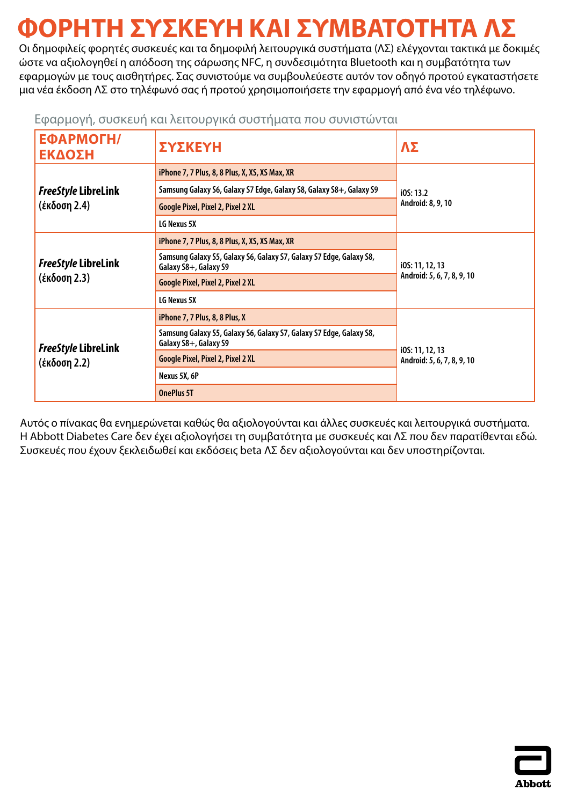# <span id="page-9-0"></span>**ΦΟΡΗΤΗ ΣΥΣΚΕΥΗ ΚΑΙ ΣΥΜΒΑΤΟΤΗΤΑ ΛΣ**

Οι δημοφιλείς φορητές συσκευές και τα δημοφιλή λειτουργικά συστήματα (ΛΣ) ελέγχονται τακτικά με δοκιμές ώστε να αξιολογηθεί η απόδοση της σάρωσης NFC, η συνδεσιμότητα Bluetooth και η συμβατότητα των εφαρμογών με τους αισθητήρες. Σας συνιστούμε να συμβουλεύεστε αυτόν τον οδηγό προτού εγκαταστήσετε μια νέα έκδοση ΛΣ στο τηλέφωνό σας ή προτού χρησιμοποιήσετε την εφαρμογή από ένα νέο τηλέφωνο.

| ΕΦΑΡΜΟΓΗ/<br>ΕΚΔΟΣΗ                        | ΣΥΣΚΕΥΗ                                                                                      | ΛΣ                                            |
|--------------------------------------------|----------------------------------------------------------------------------------------------|-----------------------------------------------|
|                                            | iPhone 7, 7 Plus, 8, 8 Plus, X, XS, XS Max, XR                                               |                                               |
| <b>FreeStyle LibreLink</b>                 | Samsung Galaxy S6, Galaxy S7 Edge, Galaxy S8, Galaxy S8+, Galaxy S9                          | i05:13.2                                      |
| (έκδοση 2.4)                               | Google Pixel, Pixel 2, Pixel 2 XL                                                            | Android: 8, 9, 10                             |
|                                            | LG Nexus 5X                                                                                  |                                               |
| <b>FreeStyle LibreLink</b><br>(έκδοση 2.3) | iPhone 7, 7 Plus, 8, 8 Plus, X, XS, XS Max, XR                                               |                                               |
|                                            | Samsung Galaxy S5, Galaxy S6, Galaxy S7, Galaxy S7 Edge, Galaxy S8,<br>Galaxy S8+, Galaxy S9 | i0S: 11, 12, 13<br>Android: 5, 6, 7, 8, 9, 10 |
|                                            | <b>Google Pixel, Pixel 2, Pixel 2 XL</b>                                                     |                                               |
|                                            | LG Nexus 5X                                                                                  |                                               |
| <b>FreeStyle LibreLink</b><br>(έκδοση 2.2) | iPhone 7, 7 Plus, 8, 8 Plus, X                                                               |                                               |
|                                            | Samsung Galaxy S5, Galaxy S6, Galaxy S7, Galaxy S7 Edge, Galaxy S8,<br>Galaxy S8+, Galaxy S9 |                                               |
|                                            | <b>Google Pixel, Pixel 2, Pixel 2 XL</b>                                                     | i0S: 11, 12, 13<br>Android: 5, 6, 7, 8, 9, 10 |
|                                            | Nexus 5X, 6P                                                                                 |                                               |
|                                            | <b>OnePlus 5T</b>                                                                            |                                               |

Εφαρμογή, συσκευή και λειτουργικά συστήματα που συνιστώνται

Αυτός ο πίνακας θα ενημερώνεται καθώς θα αξιολογούνται και άλλες συσκευές και λειτουργικά συστήματα. Η Abbott Diabetes Care δεν έχει αξιολογήσει τη συμβατότητα με συσκευές και ΛΣ που δεν παρατίθενται εδώ. Συσκευές που έχουν ξεκλειδωθεί και εκδόσεις beta ΛΣ δεν αξιολογούνται και δεν υποστηρίζονται.

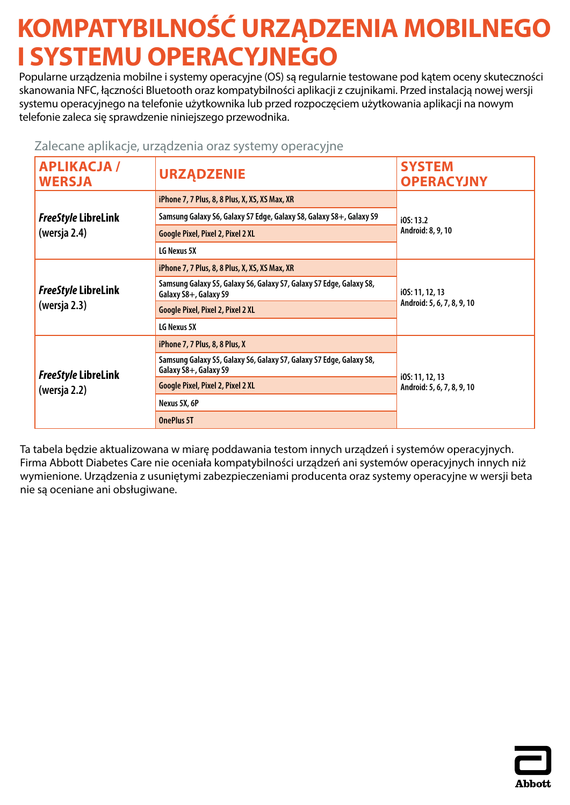# <span id="page-10-0"></span>**KOMPATYBILNOŚĆ URZĄDZENIA MOBILNEGO I SYSTEMU OPERACYJNEGO**

Popularne urządzenia mobilne i systemy operacyjne (OS) są regularnie testowane pod kątem oceny skuteczności skanowania NFC, łączności Bluetooth oraz kompatybilności aplikacji z czujnikami. Przed instalacją nowej wersji systemu operacyjnego na telefonie użytkownika lub przed rozpoczęciem użytkowania aplikacji na nowym telefonie zaleca się sprawdzenie niniejszego przewodnika.

### Zalecane aplikacje, urządzenia oraz systemy operacyjne

| <b>APLIKACJA /</b><br><b>WERSJA</b>        | <b>URZĄDZENIE</b>                                                                            | <b>SYSTEM</b><br><b>OPERACYJNY</b>            |
|--------------------------------------------|----------------------------------------------------------------------------------------------|-----------------------------------------------|
|                                            | iPhone 7, 7 Plus, 8, 8 Plus, X, XS, XS Max, XR                                               |                                               |
| <b>FreeStyle LibreLink</b>                 | Samsung Galaxy S6, Galaxy S7 Edge, Galaxy S8, Galaxy S8+, Galaxy S9                          | IOS: 13.2                                     |
| (wersja 2.4)                               | Google Pixel, Pixel 2, Pixel 2 XL                                                            | Android: 8, 9, 10                             |
|                                            | LG Nexus 5X                                                                                  |                                               |
| <b>FreeStyle LibreLink</b><br>(wersja 2.3) | iPhone 7, 7 Plus, 8, 8 Plus, X, XS, XS Max, XR                                               | i0S: 11, 12, 13<br>Android: 5, 6, 7, 8, 9, 10 |
|                                            | Samsung Galaxy S5, Galaxy S6, Galaxy S7, Galaxy S7 Edge, Galaxy S8,<br>Galaxy S8+, Galaxy S9 |                                               |
|                                            | <b>Google Pixel, Pixel 2, Pixel 2 XL</b>                                                     |                                               |
|                                            | LG Nexus 5X                                                                                  |                                               |
| <b>FreeStyle LibreLink</b><br>(wersja 2.2) | iPhone 7, 7 Plus, 8, 8 Plus, X                                                               |                                               |
|                                            | Samsung Galaxy S5, Galaxy S6, Galaxy S7, Galaxy S7 Edge, Galaxy S8,<br>Galaxy S8+, Galaxy S9 |                                               |
|                                            | Google Pixel, Pixel 2, Pixel 2 XL                                                            | i0S: 11, 12, 13<br>Android: 5, 6, 7, 8, 9, 10 |
|                                            | Nexus 5X, 6P                                                                                 |                                               |
|                                            | <b>OnePlus 5T</b>                                                                            |                                               |

Ta tabela będzie aktualizowana w miarę poddawania testom innych urządzeń i systemów operacyjnych. Firma Abbott Diabetes Care nie oceniała kompatybilności urządzeń ani systemów operacyjnych innych niż wymienione. Urządzenia z usuniętymi zabezpieczeniami producenta oraz systemy operacyjne w wersji beta nie są oceniane ani obsługiwane.

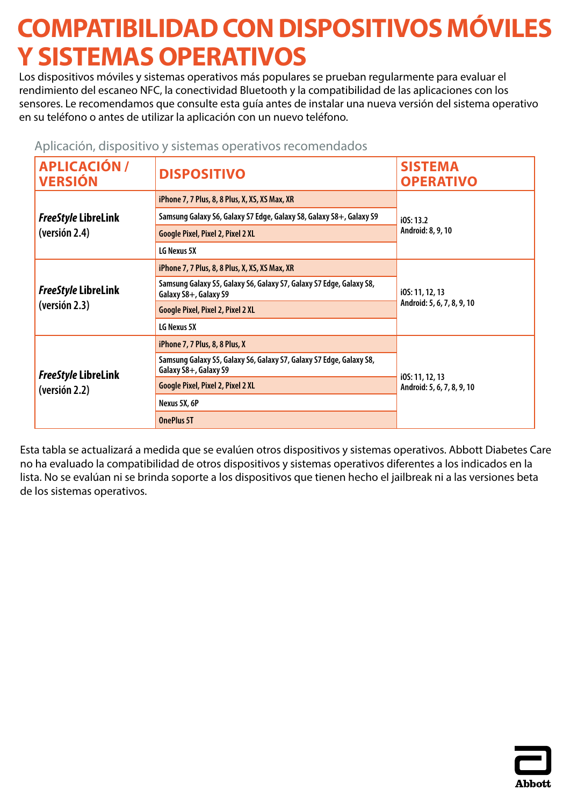## <span id="page-11-0"></span>**COMPATIBILIDAD CON DISPOSITIVOS MÓVILES Y SISTEMAS OPERATIVOS**

Los dispositivos móviles y sistemas operativos más populares se prueban regularmente para evaluar el rendimiento del escaneo NFC, la conectividad Bluetooth y la compatibilidad de las aplicaciones con los sensores. Le recomendamos que consulte esta guía antes de instalar una nueva versión del sistema operativo en su teléfono o antes de utilizar la aplicación con un nuevo teléfono.

| <b>APLICACIÓN /</b><br><b>VERSIÓN</b>       | <b>DISPOSITIVO</b>                                                                           | <b>SISTEMA</b><br><b>OPERATIVO</b>            |
|---------------------------------------------|----------------------------------------------------------------------------------------------|-----------------------------------------------|
|                                             | iPhone 7, 7 Plus, 8, 8 Plus, X, XS, XS Max, XR                                               |                                               |
| <b>FreeStyle LibreLink</b>                  | Samsung Galaxy S6, Galaxy S7 Edge, Galaxy S8, Galaxy S8+, Galaxy S9                          | iOS: 13.2                                     |
| (versión 2.4)                               | <b>Google Pixel, Pixel 2, Pixel 2 XL</b>                                                     | Android: 8, 9, 10                             |
|                                             | LG Nexus 5X                                                                                  |                                               |
|                                             | iPhone 7, 7 Plus, 8, 8 Plus, X, XS, XS Max, XR                                               |                                               |
| <b>FreeStyle LibreLink</b>                  | Samsung Galaxy S5, Galaxy S6, Galaxy S7, Galaxy S7 Edge, Galaxy S8,<br>Galaxy S8+, Galaxy S9 | i0S: 11, 12, 13<br>Android: 5, 6, 7, 8, 9, 10 |
| (version 2.3)                               | <b>Google Pixel, Pixel 2, Pixel 2 XL</b>                                                     |                                               |
|                                             | LG Nexus 5X                                                                                  |                                               |
|                                             | iPhone 7, 7 Plus, 8, 8 Plus, X                                                               |                                               |
| <b>FreeStyle LibreLink</b><br>(versión 2.2) | Samsung Galaxy S5, Galaxy S6, Galaxy S7, Galaxy S7 Edge, Galaxy S8,<br>Galaxy S8+, Galaxy S9 | i0S: 11, 12, 13                               |
|                                             | <b>Google Pixel, Pixel 2, Pixel 2 XL</b>                                                     | Android: 5, 6, 7, 8, 9, 10                    |
|                                             | Nexus 5X, 6P                                                                                 |                                               |
|                                             | <b>OnePlus 5T</b>                                                                            |                                               |

#### Aplicación, dispositivo y sistemas operativos recomendados

Esta tabla se actualizará a medida que se evalúen otros dispositivos y sistemas operativos. Abbott Diabetes Care no ha evaluado la compatibilidad de otros dispositivos y sistemas operativos diferentes a los indicados en la lista. No se evalúan ni se brinda soporte a los dispositivos que tienen hecho el jailbreak ni a las versiones beta de los sistemas operativos.

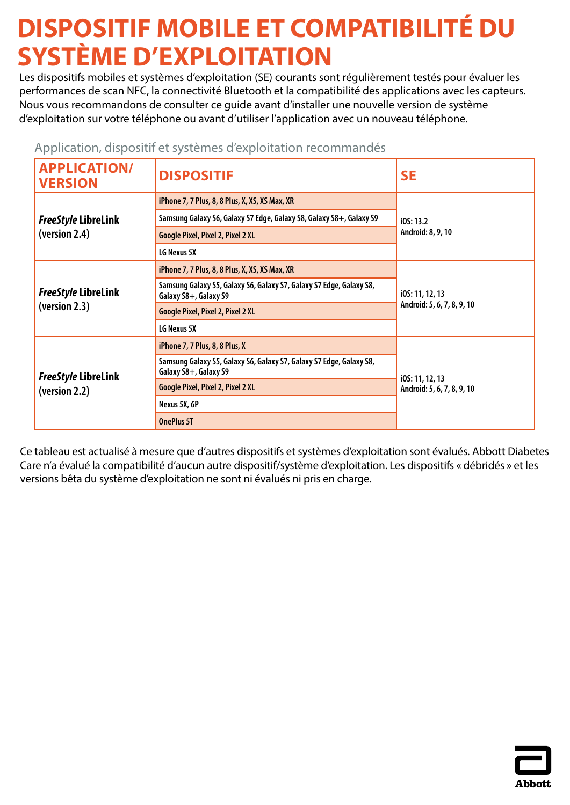# <span id="page-12-0"></span>**DISPOSITIF MOBILE ET COMPATIBILITÉ DU SYSTÈME D'EXPLOITATION**

Les dispositifs mobiles et systèmes d'exploitation (SE) courants sont régulièrement testés pour évaluer les performances de scan NFC, la connectivité Bluetooth et la compatibilité des applications avec les capteurs. Nous vous recommandons de consulter ce guide avant d'installer une nouvelle version de système d'exploitation sur votre téléphone ou avant d'utiliser l'application avec un nouveau téléphone.

| <b>APPLICATION/</b><br><b>VERSION</b>       | <b>DISPOSITIF</b>                                                                            | <b>SE</b>                                     |
|---------------------------------------------|----------------------------------------------------------------------------------------------|-----------------------------------------------|
|                                             | iPhone 7, 7 Plus, 8, 8 Plus, X, XS, XS Max, XR                                               | IOS: 13.2<br>Android: 8, 9, 10                |
| <b>FreeStyle LibreLink</b>                  | Samsung Galaxy S6, Galaxy S7 Edge, Galaxy S8, Galaxy S8+, Galaxy S9                          |                                               |
| (version 2.4)                               | <b>Google Pixel, Pixel 2, Pixel 2 XL</b>                                                     |                                               |
|                                             | LG Nexus 5X                                                                                  |                                               |
|                                             | iPhone 7, 7 Plus, 8, 8 Plus, X, XS, XS Max, XR                                               | i0S: 11, 12, 13<br>Android: 5, 6, 7, 8, 9, 10 |
| <b>FreeStyle LibreLink</b>                  | Samsung Galaxy S5, Galaxy S6, Galaxy S7, Galaxy S7 Edge, Galaxy S8,<br>Galaxy S8+, Galaxy S9 |                                               |
| (version 2.3)                               | <b>Google Pixel, Pixel 2, Pixel 2 XL</b>                                                     |                                               |
|                                             | LG Nexus 5X                                                                                  |                                               |
|                                             | iPhone 7, 7 Plus, 8, 8 Plus, X                                                               | i0S: 11, 12, 13<br>Android: 5, 6, 7, 8, 9, 10 |
| <b>FreeStyle LibreLink</b><br>(version 2.2) | Samsung Galaxy S5, Galaxy S6, Galaxy S7, Galaxy S7 Edge, Galaxy S8,<br>Galaxy S8+, Galaxy S9 |                                               |
|                                             | <b>Google Pixel, Pixel 2, Pixel 2 XL</b>                                                     |                                               |
|                                             | Nexus 5X, 6P                                                                                 |                                               |
|                                             | <b>OnePlus 5T</b>                                                                            |                                               |

### Application, dispositif et systèmes d'exploitation recommandés

Ce tableau est actualisé à mesure que d'autres dispositifs et systèmes d'exploitation sont évalués. Abbott Diabetes Care n'a évalué la compatibilité d'aucun autre dispositif/système d'exploitation. Les dispositifs « débridés » et les versions bêta du système d'exploitation ne sont ni évalués ni pris en charge.

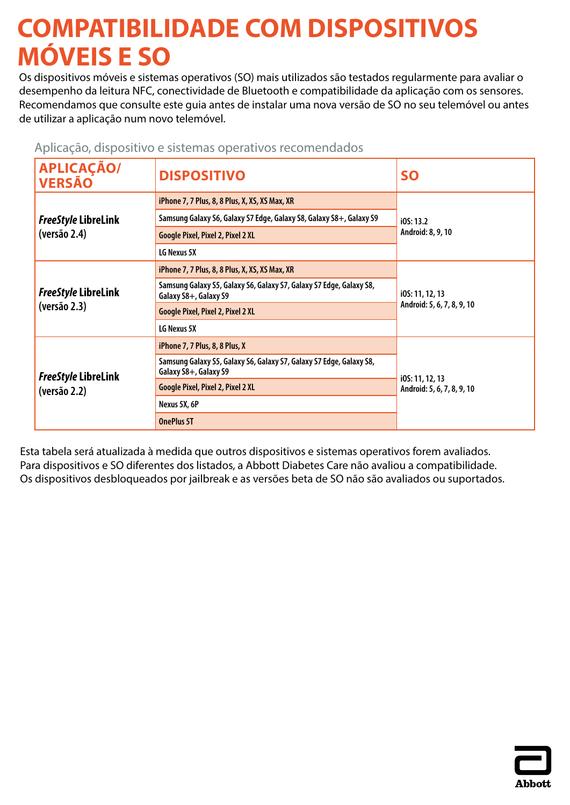### <span id="page-13-0"></span>**COMPATIBILIDADE COM DISPOSITIVOS MÓVEIS E SO**

Os dispositivos móveis e sistemas operativos (SO) mais utilizados são testados regularmente para avaliar o desempenho da leitura NFC, conectividade de Bluetooth e compatibilidade da aplicação com os sensores. Recomendamos que consulte este guia antes de instalar uma nova versão de SO no seu telemóvel ou antes de utilizar a aplicação num novo telemóvel.

| <b>APLICAÇÃO/</b><br><b>VERSÃO</b>         | <b>DISPOSITIVO</b>                                                                           | <b>SO</b>                                     |
|--------------------------------------------|----------------------------------------------------------------------------------------------|-----------------------------------------------|
|                                            | iPhone 7, 7 Plus, 8, 8 Plus, X, XS, XS Max, XR                                               | i05:13.2<br>Android: 8, 9, 10                 |
| FreeStyle LibreLink                        | Samsung Galaxy S6, Galaxy S7 Edge, Galaxy S8, Galaxy S8+, Galaxy S9                          |                                               |
| (versão 2.4)                               | Google Pixel, Pixel 2, Pixel 2 XL                                                            |                                               |
|                                            | LG Nexus 5X                                                                                  |                                               |
| <b>FreeStyle LibreLink</b>                 | iPhone 7, 7 Plus, 8, 8 Plus, X, XS, XS Max, XR                                               | i0S: 11, 12, 13<br>Android: 5, 6, 7, 8, 9, 10 |
|                                            | Samsung Galaxy S5, Galaxy S6, Galaxy S7, Galaxy S7 Edge, Galaxy S8,<br>Galaxy S8+, Galaxy S9 |                                               |
| (versão 2.3)                               | Google Pixel, Pixel 2, Pixel 2 XL                                                            |                                               |
|                                            | LG Nexus 5X                                                                                  |                                               |
| <b>FreeStyle LibreLink</b><br>(versão 2.2) | iPhone 7, 7 Plus, 8, 8 Plus, X                                                               | i0S: 11, 12, 13<br>Android: 5, 6, 7, 8, 9, 10 |
|                                            | Samsung Galaxy S5, Galaxy S6, Galaxy S7, Galaxy S7 Edge, Galaxy S8,<br>Galaxy S8+, Galaxy S9 |                                               |
|                                            | Google Pixel, Pixel 2, Pixel 2 XL                                                            |                                               |
|                                            | Nexus 5X, 6P                                                                                 |                                               |
|                                            | <b>OnePlus 5T</b>                                                                            |                                               |

Aplicação, dispositivo e sistemas operativos recomendados

Esta tabela será atualizada à medida que outros dispositivos e sistemas operativos forem avaliados. Para dispositivos e SO diferentes dos listados, a Abbott Diabetes Care não avaliou a compatibilidade. Os dispositivos desbloqueados por jailbreak e as versões beta de SO não são avaliados ou suportados.

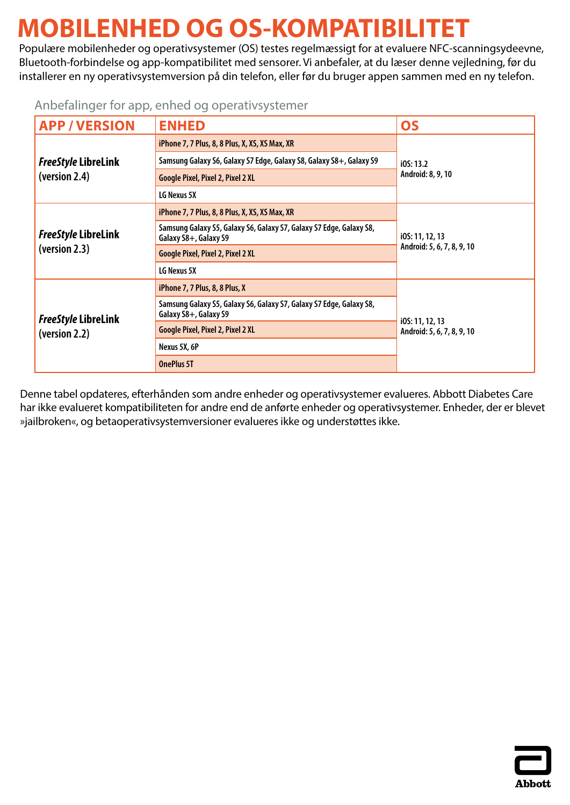## <span id="page-14-0"></span>**MOBILENHED OG OS-KOMPATIBILITET**

Populære mobilenheder og operativsystemer (OS) testes regelmæssigt for at evaluere NFC-scanningsydeevne, Bluetooth-forbindelse og app-kompatibilitet med sensorer. Vi anbefaler, at du læser denne vejledning, før du installerer en ny operativsystemversion på din telefon, eller før du bruger appen sammen med en ny telefon.

### Anbefalinger for app, enhed og operativsystemer

| <b>APP/VERSION</b>                          | <b>ENHED</b>                                                                                 | <b>OS</b>                                     |
|---------------------------------------------|----------------------------------------------------------------------------------------------|-----------------------------------------------|
|                                             | iPhone 7, 7 Plus, 8, 8 Plus, X, XS, XS Max, XR                                               | IOS: 13.2<br>Android: 8, 9, 10                |
| <b>FreeStyle LibreLink</b>                  | Samsung Galaxy S6, Galaxy S7 Edge, Galaxy S8, Galaxy S8+, Galaxy S9                          |                                               |
| (version 2.4)                               | <b>Google Pixel, Pixel 2, Pixel 2 XL</b>                                                     |                                               |
|                                             | LG Nexus 5X                                                                                  |                                               |
|                                             | iPhone 7, 7 Plus, 8, 8 Plus, X, XS, XS Max, XR                                               |                                               |
| <b>FreeStyle LibreLink</b>                  | Samsung Galaxy S5, Galaxy S6, Galaxy S7, Galaxy S7 Edge, Galaxy S8,<br>Galaxy S8+, Galaxy S9 | i0S: 11, 12, 13<br>Android: 5, 6, 7, 8, 9, 10 |
| (version 2.3)                               | <b>Google Pixel, Pixel 2, Pixel 2 XL</b>                                                     |                                               |
|                                             | LG Nexus 5X                                                                                  |                                               |
|                                             | iPhone 7, 7 Plus, 8, 8 Plus, X                                                               | i0S: 11, 12, 13<br>Android: 5, 6, 7, 8, 9, 10 |
| <b>FreeStyle LibreLink</b><br>(version 2.2) | Samsung Galaxy S5, Galaxy S6, Galaxy S7, Galaxy S7 Edge, Galaxy S8,<br>Galaxy S8+, Galaxy S9 |                                               |
|                                             | Google Pixel, Pixel 2, Pixel 2 XL                                                            |                                               |
|                                             | Nexus 5X, 6P                                                                                 |                                               |
|                                             | <b>OnePlus 5T</b>                                                                            |                                               |

Denne tabel opdateres, efterhånden som andre enheder og operativsystemer evalueres. Abbott Diabetes Care har ikke evalueret kompatibiliteten for andre end de anførte enheder og operativsystemer. Enheder, der er blevet »jailbroken«, og betaoperativsystemversioner evalueres ikke og understøttes ikke.

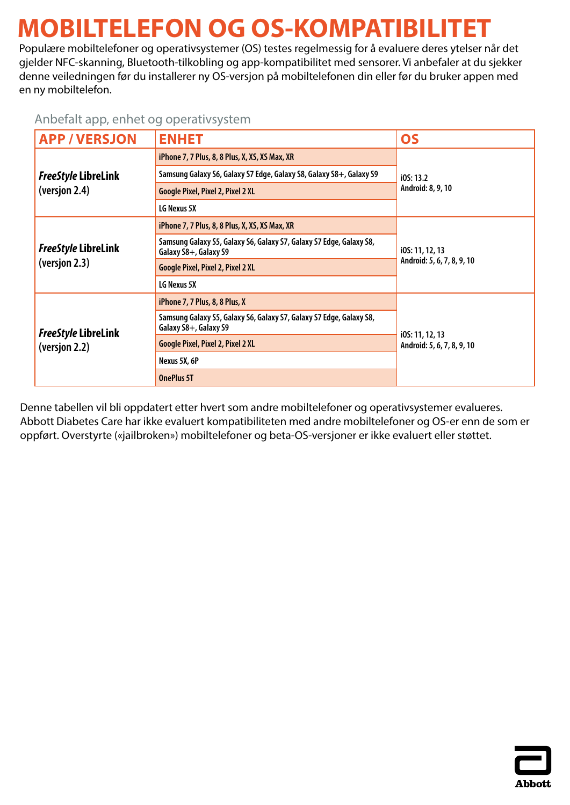# <span id="page-15-0"></span>**MOBILTELEFON OG OS-KOMPATIBILITET**

Populære mobiltelefoner og operativsystemer (OS) testes regelmessig for å evaluere deres ytelser når det gjelder NFC-skanning, Bluetooth-tilkobling og app-kompatibilitet med sensorer. Vi anbefaler at du sjekker denne veiledningen før du installerer ny OS-versjon på mobiltelefonen din eller før du bruker appen med en ny mobiltelefon.

### Anbefalt app, enhet og operativsystem

| <b>APP/VERSJON</b>                          | <b>ENHET</b>                                                                                 | OS                                            |
|---------------------------------------------|----------------------------------------------------------------------------------------------|-----------------------------------------------|
|                                             | iPhone 7, 7 Plus, 8, 8 Plus, X, XS, XS Max, XR                                               | i0S: 13.2<br>Android: 8, 9, 10                |
| <b>FreeStyle LibreLink</b>                  | Samsung Galaxy S6, Galaxy S7 Edge, Galaxy S8, Galaxy S8+, Galaxy S9                          |                                               |
| (versjon 2.4)                               | <b>Google Pixel, Pixel 2, Pixel 2 XL</b>                                                     |                                               |
|                                             | LG Nexus 5X                                                                                  |                                               |
|                                             | iPhone 7, 7 Plus, 8, 8 Plus, X, XS, XS Max, XR                                               | i0S: 11, 12, 13<br>Android: 5, 6, 7, 8, 9, 10 |
| <b>FreeStyle LibreLink</b>                  | Samsung Galaxy S5, Galaxy S6, Galaxy S7, Galaxy S7 Edge, Galaxy S8,<br>Galaxy S8+, Galaxy S9 |                                               |
| (versjon 2.3)                               | <b>Google Pixel, Pixel 2, Pixel 2 XL</b>                                                     |                                               |
|                                             | LG Nexus 5X                                                                                  |                                               |
|                                             | iPhone 7, 7 Plus, 8, 8 Plus, X                                                               | i0S: 11, 12, 13<br>Android: 5, 6, 7, 8, 9, 10 |
| <b>FreeStyle LibreLink</b><br>(versjon 2.2) | Samsung Galaxy S5, Galaxy S6, Galaxy S7, Galaxy S7 Edge, Galaxy S8,<br>Galaxy S8+, Galaxy S9 |                                               |
|                                             | <b>Google Pixel, Pixel 2, Pixel 2 XL</b>                                                     |                                               |
|                                             | Nexus 5X, 6P                                                                                 |                                               |
|                                             | <b>OnePlus 5T</b>                                                                            |                                               |

Denne tabellen vil bli oppdatert etter hvert som andre mobiltelefoner og operativsystemer evalueres. Abbott Diabetes Care har ikke evaluert kompatibiliteten med andre mobiltelefoner og OS-er enn de som er oppført. Overstyrte («jailbroken») mobiltelefoner og beta-OS-versjoner er ikke evaluert eller støttet.

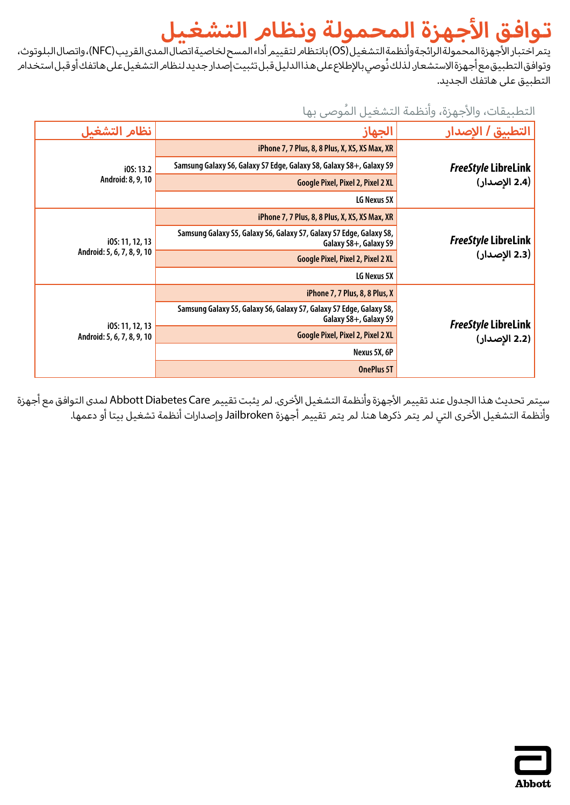# **توافق األجهزة الم حم ولة ونظام التشغيل**

<span id="page-16-0"></span>يتمر اختبار الأجهزةالمحمولةالرائجةوأنظمةالتشغيل(OS)بانتظامر لتقييم أداءالمسح لخاصيةاتصال المدىالقريب (NFC)،واتصال البلوتوث، وتوافق التطبيق مع أجهزة الاستشعار. لذلك نُوصي بالإطلاع على هذا الدليل قبل تثبيت إصدار جديد لنظام التشغيل على هاتفك أو قبل استخدام التطبيق على هاتفك الجديد.

### التطبيقات، والأجهزة، وأنظمة التشغيل المُوصى بها

| نظام التشغيل                                  | الجهاز                                                                                       | التطبيق / الاصدار                             |
|-----------------------------------------------|----------------------------------------------------------------------------------------------|-----------------------------------------------|
|                                               | iPhone 7, 7 Plus, 8, 8 Plus, X, XS, XS Max, XR                                               |                                               |
| IOS: 13.2                                     | Samsung Galaxy S6, Galaxy S7 Edge, Galaxy S8, Galaxy S8+, Galaxy S9                          | <i>FreeStyle</i> LibreLink <mark> </mark>     |
| Android: 8, 9, 10                             | <b>Google Pixel, Pixel 2, Pixel 2 XL</b>                                                     | (2.4 الإصدار)                                 |
|                                               | LG Nexus 5X                                                                                  |                                               |
|                                               | iPhone 7, 7 Plus, 8, 8 Plus, X, XS, XS Max, XR                                               |                                               |
| i0S: 11, 12, 13                               | Samsung Galaxy S5, Galaxy S6, Galaxy S7, Galaxy S7 Edge, Galaxy S8,<br>Galaxy S8+, Galaxy S9 | <i>FreeStyle</i> LibreLink<br>  2.3 الإصدار ) |
| Android: 5, 6, 7, 8, 9, 10                    | Google Pixel, Pixel 2, Pixel 2 XL                                                            |                                               |
|                                               | LG Nexus 5X                                                                                  |                                               |
|                                               | iPhone 7, 7 Plus, 8, 8 Plus, X                                                               |                                               |
| i0S: 11, 12, 13<br>Android: 5, 6, 7, 8, 9, 10 | Samsung Galaxy S5, Galaxy S6, Galaxy S7, Galaxy S7 Edge, Galaxy S8,<br>Galaxy S8+, Galaxy S9 | <i>FreeStyle</i> LibreLink<br>  2.2 الإصدار ) |
|                                               | Google Pixel, Pixel 2, Pixel 2 XL                                                            |                                               |
|                                               | Nexus 5X, 6P                                                                                 |                                               |
|                                               | <b>OnePlus 5T</b>                                                                            |                                               |

سيتمر تحديث هذا الجدول عند تقييمر الأجهزة وأنظمة التشغيل الأخرى. لم يثبت تقييم Abbott Diabetes Care لمدى التوافق مع أجهزة .<br>وأنظمة التشغيل الأ*خ*رى التي لم يتمر ذكرها هنا. لم يتمر تقييم أجهزة Jailbroken وإصدارات أنظمة تشغيل بيتا أو دعمها.

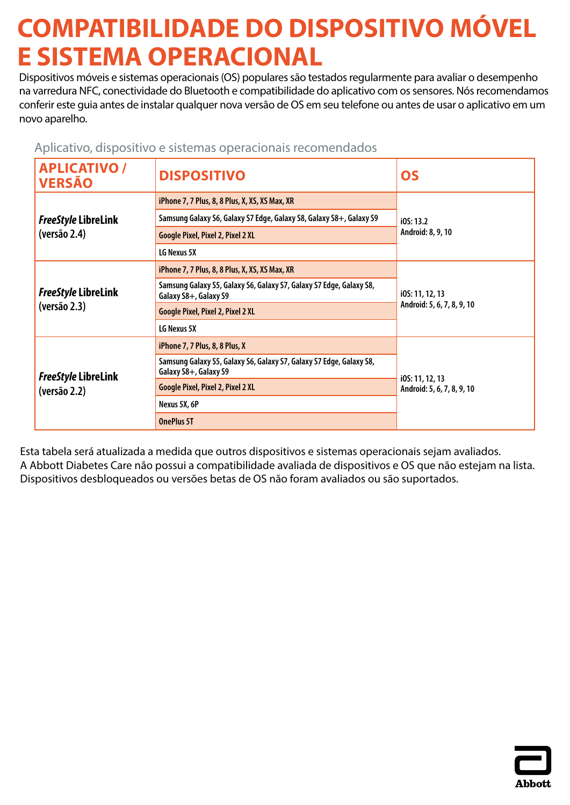# <span id="page-17-0"></span>**COMPATIBILIDADE DO DISPOSITIVO MÓVEL E SISTEMA OPERACIONAL**

Dispositivos móveis e sistemas operacionais (OS) populares são testados regularmente para avaliar o desempenho na varredura NFC, conectividade do Bluetooth e compatibilidade do aplicativo com os sensores. Nós recomendamos conferir este guia antes de instalar qualquer nova versão de OS em seu telefone ou antes de usar o aplicativo em um novo aparelho.

Aplicativo, dispositivo e sistemas operacionais recomendados

| <b>APLICATIVO /</b><br><b>VERSÃO</b> | <b>DISPOSITIVO</b>                                                                           | <b>OS</b>                                     |
|--------------------------------------|----------------------------------------------------------------------------------------------|-----------------------------------------------|
|                                      | iPhone 7, 7 Plus, 8, 8 Plus, X, XS, XS Max, XR                                               | IOS: 13.2<br>Android: 8, 9, 10                |
| <b>FreeStyle LibreLink</b>           | Samsung Galaxy S6, Galaxy S7 Edge, Galaxy S8, Galaxy S8+, Galaxy S9                          |                                               |
| (versão 2.4)                         | <b>Google Pixel, Pixel 2, Pixel 2 XL</b>                                                     |                                               |
|                                      | LG Nexus 5X                                                                                  |                                               |
|                                      | iPhone 7, 7 Plus, 8, 8 Plus, X, XS, XS Max, XR                                               | i0S: 11, 12, 13<br>Android: 5, 6, 7, 8, 9, 10 |
| <b>FreeStyle LibreLink</b>           | Samsung Galaxy S5, Galaxy S6, Galaxy S7, Galaxy S7 Edge, Galaxy S8,<br>Galaxy S8+, Galaxy S9 |                                               |
| (versão 2.3)                         | <b>Google Pixel, Pixel 2, Pixel 2 XL</b>                                                     |                                               |
|                                      | LG Nexus 5X                                                                                  |                                               |
|                                      | iPhone 7, 7 Plus, 8, 8 Plus, X                                                               |                                               |
| FreeStyle LibreLink<br>(versão 2.2)  | Samsung Galaxy S5, Galaxy S6, Galaxy S7, Galaxy S7 Edge, Galaxy S8,<br>Galaxy S8+, Galaxy S9 |                                               |
|                                      | Google Pixel, Pixel 2, Pixel 2 XL                                                            | i0S: 11, 12, 13<br>Android: 5, 6, 7, 8, 9, 10 |
|                                      | Nexus 5X, 6P                                                                                 |                                               |
|                                      | <b>OnePlus 5T</b>                                                                            |                                               |

Esta tabela será atualizada a medida que outros dispositivos e sistemas operacionais sejam avaliados. A Abbott Diabetes Care não possui a compatibilidade avaliada de dispositivos e OS que não estejam na lista. Dispositivos desbloqueados ou versões betas de OS não foram avaliados ou são suportados.

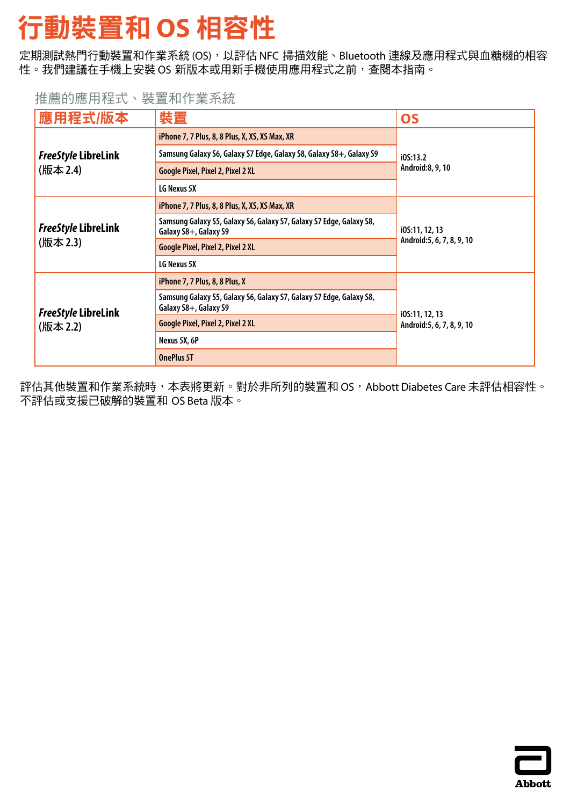# <span id="page-18-0"></span>行動裝置和 **OS** 相容性

定期測試熱門行動裝置和作業系統 (OS), 以評估 NFC 掃描效能、Bluetooth 連線及應用程式與血糖機的相容 性。我們建議在手機上安裝 OS 新版本或用新手機使用應用程式之前,查閱本指南。

### 推薦的應用程式、裝置和作業系統

| 應用程式/版本                                | 裝置                                                                                           | <b>OS</b>                                    |
|----------------------------------------|----------------------------------------------------------------------------------------------|----------------------------------------------|
|                                        | iPhone 7, 7 Plus, 8, 8 Plus, X, XS, XS Max, XR                                               | i0S:13.2<br>Android:8, 9, 10                 |
| <b>FreeStyle LibreLink</b>             | Samsung Galaxy S6, Galaxy S7 Edge, Galaxy S8, Galaxy S8+, Galaxy S9                          |                                              |
| (版本 2.4)                               | <b>Google Pixel, Pixel 2, Pixel 2 XL</b>                                                     |                                              |
|                                        | LG Nexus 5X                                                                                  |                                              |
|                                        | iPhone 7, 7 Plus, 8, 8 Plus, X, XS, XS Max, XR                                               | i0S:11, 12, 13<br>Android: 5, 6, 7, 8, 9, 10 |
| <b>FreeStyle LibreLink</b>             | Samsung Galaxy S5, Galaxy S6, Galaxy S7, Galaxy S7 Edge, Galaxy S8,<br>Galaxy S8+, Galaxy S9 |                                              |
| (版本 2.3)                               | <b>Google Pixel, Pixel 2, Pixel 2 XL</b>                                                     |                                              |
|                                        | LG Nexus 5X                                                                                  |                                              |
| <b>FreeStyle LibreLink</b><br>(版本 2.2) | iPhone 7, 7 Plus, 8, 8 Plus, X                                                               | i0S:11, 12, 13                               |
|                                        | Samsung Galaxy S5, Galaxy S6, Galaxy S7, Galaxy S7 Edge, Galaxy S8,<br>Galaxy S8+, Galaxy S9 |                                              |
|                                        | <b>Google Pixel, Pixel 2, Pixel 2 XL</b>                                                     | Android: 5, 6, 7, 8, 9, 10                   |
|                                        | Nexus 5X, 6P                                                                                 |                                              |
|                                        | <b>OnePlus 5T</b>                                                                            |                                              |

評估其他裝置和作業系統時,本表將更新。對於非所列的裝置和 OS,Abbott Diabetes Care 未評估相容性。 不評估或支援已破解的裝置和 OS Beta 版本。

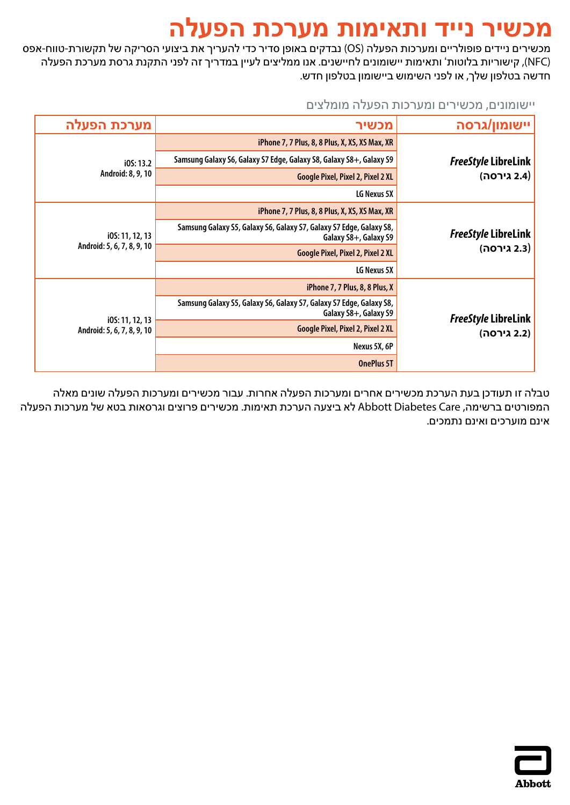### **מכשיר נייד ותאימות מערכת הפעלה**

<span id="page-19-0"></span>מכשירים ניידים פופולריים ומערכות הפעלה )OS )נבדקים באופן סדיר כדי להעריך את ביצועי הסריקה של תקשורת-טווח-אפס )NFC), קישוריות בלוטות' ותאימות יישומונים לחיישנים. אנו ממליצים לעיין במדריך זה לפני התקנת גרסת מערכת הפעלה חדשה בטלפון שלך, או לפני השימוש ביישומון בטלפון חדש.

#### יישומונים, מכשירים ומערכות הפעלה מומלצים

| מערכת הפעלה                                   | מכשיר                                                                                        | יישומון/גרסה                                     |
|-----------------------------------------------|----------------------------------------------------------------------------------------------|--------------------------------------------------|
|                                               | iPhone 7, 7 Plus, 8, 8 Plus, X, XS, XS Max, XR                                               |                                                  |
| IOS: 13.2                                     | Samsung Galaxy S6, Galaxy S7 Edge, Galaxy S8, Galaxy S8+, Galaxy S9                          | <b>FreeStyle LibreLink</b>                       |
| Android: 8, 9, 10                             | <b>Google Pixel, Pixel 2, Pixel 2 XL</b>                                                     | (2.4 גירסה)                                      |
|                                               | LG Nexus 5X                                                                                  |                                                  |
|                                               | iPhone 7, 7 Plus, 8, 8 Plus, X, XS, XS Max, XR                                               |                                                  |
| i0S: 11, 12, 13                               | Samsung Galaxy S5, Galaxy S6, Galaxy S7, Galaxy S7 Edge, Galaxy S8,<br>Galaxy S8+, Galaxy S9 | <b>FreeStyle LibreLink</b><br>(2.3 גירסה)        |
| Android: 5, 6, 7, 8, 9, 10                    | <b>Google Pixel, Pixel 2, Pixel 2 XL</b>                                                     |                                                  |
|                                               | LG Nexus 5X                                                                                  |                                                  |
|                                               | iPhone 7, 7 Plus, 8, 8 Plus, X                                                               |                                                  |
| i0S: 11, 12, 13<br>Android: 5, 6, 7, 8, 9, 10 | Samsung Galaxy S5, Galaxy S6, Galaxy S7, Galaxy S7 Edge, Galaxy S8,<br>Galaxy S8+, Galaxy S9 | <b>FreeStyle LibreLink</b><br><b>2.2)</b> גירסה) |
|                                               | <b>Google Pixel, Pixel 2, Pixel 2 XL</b>                                                     |                                                  |
|                                               | Nexus 5X, 6P                                                                                 |                                                  |
|                                               | <b>OnePlus 5T</b>                                                                            |                                                  |

טבלה זו תעודכן בעת הערכת מכשירים אחרים ומערכות הפעלה אחרות. עבור מכשירים ומערכות הפעלה שונים מאלה המפורטים ברשימה, Care Diabetes Abbott לא ביצעה הערכת תאימות. מכשירים פרוצים וגרסאות בטא של מערכות הפעלה אינם מוערכים ואינם נתמכים.

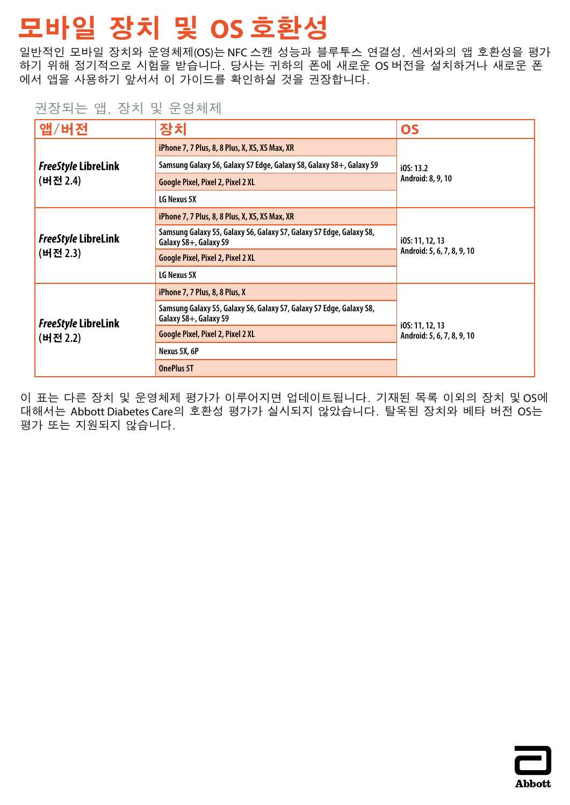# <span id="page-20-0"></span>**모바일 장치 및 OS 호환성**

일반적인 모바일 장치와 운영체제(OS)는 NFC 스캔 성능과 블루투스 연결성, 센서와의 앱 호환성을 평가 하기 위해 정기적으로 시험을 받습니다. 당사는 귀하의 폰에 새로운 OS 버전을 설치하거나 새로운 폰 에서 앱을 사용하기 앞서서 이 가이드를 확인하실 것을 권장합니다.

### 권장되는 앱, 장치 및 운영체제

| 앱/버전                                   | 장치                                                                                           | <b>OS</b>                                     |
|----------------------------------------|----------------------------------------------------------------------------------------------|-----------------------------------------------|
|                                        | iPhone 7, 7 Plus, 8, 8 Plus, X, XS, XS Max, XR                                               | IOS: 13.2<br>Android: 8, 9, 10                |
| <b>FreeStyle LibreLink</b>             | Samsung Galaxy S6, Galaxy S7 Edge, Galaxy S8, Galaxy S8+, Galaxy S9                          |                                               |
| (버전 2.4)                               | Google Pixel, Pixel 2, Pixel 2 XL                                                            |                                               |
|                                        | LG Nexus 5X                                                                                  |                                               |
| <b>FreeStyle LibreLink</b>             | iPhone 7, 7 Plus, 8, 8 Plus, X, XS, XS Max, XR                                               | i0S: 11, 12, 13<br>Android: 5, 6, 7, 8, 9, 10 |
|                                        | Samsung Galaxy S5, Galaxy S6, Galaxy S7, Galaxy S7 Edge, Galaxy S8,<br>Galaxy S8+, Galaxy S9 |                                               |
| (버전 2.3)                               | Google Pixel, Pixel 2, Pixel 2 XL                                                            |                                               |
|                                        | LG Nexus 5X                                                                                  |                                               |
| <b>FreeStyle LibreLink</b><br>(버전 2.2) | iPhone 7, 7 Plus, 8, 8 Plus, X                                                               | i0S: 11, 12, 13                               |
|                                        | Samsung Galaxy S5, Galaxy S6, Galaxy S7, Galaxy S7 Edge, Galaxy S8,<br>Galaxy S8+, Galaxy S9 |                                               |
|                                        | Google Pixel, Pixel 2, Pixel 2 XL                                                            | Android: 5, 6, 7, 8, 9, 10                    |
|                                        | Nexus 5X, 6P                                                                                 |                                               |
|                                        | <b>OnePlus 5T</b>                                                                            |                                               |

이 표는 다른 장치 및 운영체제 평가가 이루어지면 업데이트됩니다. 기재된 목록 이외의 장치 및 OS에 대해서는 Abbott Diabetes Care의 호환성 평가가 실시되지 않았습니다. 탈옥된 장치와 베타 버전 OS는 평가 또는 지원되지 않습니다.

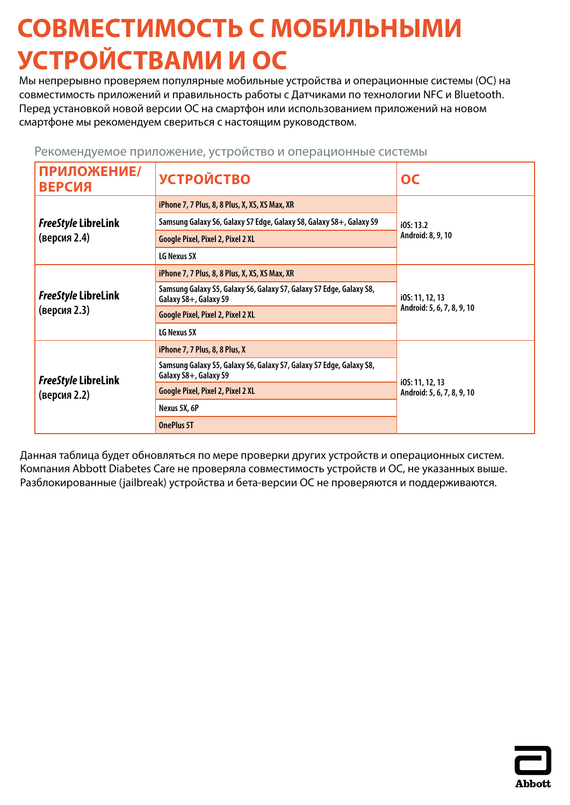# <span id="page-21-0"></span>**СОВМЕСТИМОСТЬ С МОБИЛЬНЫМИ УСТРОЙСТВАМИ И ОС**

Мы непрерывно проверяем популярные мобильные устройства и операционные системы (ОС) на совместимость приложений и правильность работы с Датчиками по технологии NFC и Bluetooth. Перед установкой новой версии ОС на смартфон или использованием приложений на новом смартфоне мы рекомендуем свериться с настоящим руководством.

| ПРИЛОЖЕНИЕ/<br><b>ВЕРСИЯ</b>               | <b>УСТРОЙСТВО</b>                                                                            | OC                                            |
|--------------------------------------------|----------------------------------------------------------------------------------------------|-----------------------------------------------|
|                                            | iPhone 7, 7 Plus, 8, 8 Plus, X, XS, XS Max, XR                                               | i0S: 13.2<br>Android: 8, 9, 10                |
| <b>FreeStyle LibreLink</b>                 | Samsung Galaxy S6, Galaxy S7 Edge, Galaxy S8, Galaxy S8+, Galaxy S9                          |                                               |
| (версия 2.4)                               | Google Pixel, Pixel 2, Pixel 2 XL                                                            |                                               |
|                                            | LG Nexus 5X                                                                                  |                                               |
|                                            | iPhone 7, 7 Plus, 8, 8 Plus, X, XS, XS Max, XR                                               | i0S: 11, 12, 13<br>Android: 5, 6, 7, 8, 9, 10 |
| <b>FreeStyle LibreLink</b>                 | Samsung Galaxy S5, Galaxy S6, Galaxy S7, Galaxy S7 Edge, Galaxy S8,<br>Galaxy S8+, Galaxy S9 |                                               |
| (версия 2.3)                               | <b>Google Pixel, Pixel 2, Pixel 2 XL</b>                                                     |                                               |
|                                            | LG Nexus 5X                                                                                  |                                               |
| <b>FreeStyle LibreLink</b><br>(версия 2.2) | iPhone 7, 7 Plus, 8, 8 Plus, X                                                               | i0S: 11, 12, 13<br>Android: 5, 6, 7, 8, 9, 10 |
|                                            | Samsung Galaxy S5, Galaxy S6, Galaxy S7, Galaxy S7 Edge, Galaxy S8,<br>Galaxy S8+, Galaxy S9 |                                               |
|                                            | <b>Google Pixel, Pixel 2, Pixel 2 XL</b>                                                     |                                               |
|                                            | Nexus 5X, 6P                                                                                 |                                               |
|                                            | <b>OnePlus 5T</b>                                                                            |                                               |

Рекомендуемое приложение, устройство и операционные системы

Данная таблица будет обновляться по мере проверки других устройств и операционных систем. Компания Abbott Diabetes Care не проверяла совместимость устройств и ОС, не указанных выше. Разблокированные (jailbreak) устройства и бета-версии ОС не проверяются и поддерживаются.

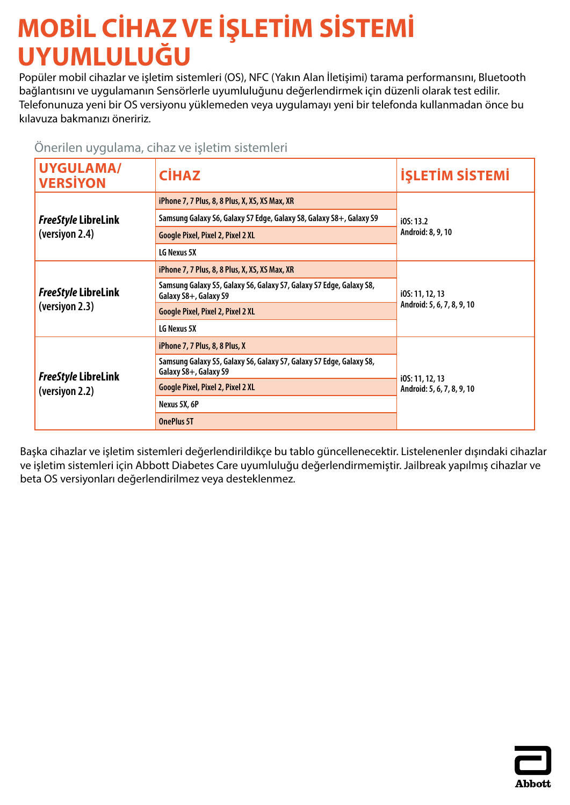# <span id="page-22-0"></span>**MOBİL CİHAZ VE İŞLETİM SİSTEMİ UYUMLULUĞU**

Popüler mobil cihazlar ve işletim sistemleri (OS), NFC (Yakın Alan İletişimi) tarama performansını, Bluetooth bağlantısını ve uygulamanın Sensörlerle uyumluluğunu değerlendirmek için düzenli olarak test edilir. Telefonunuza yeni bir OS versiyonu yüklemeden veya uygulamayı yeni bir telefonda kullanmadan önce bu kılavuza bakmanızı öneririz.

### Önerilen uygulama, cihaz ve işletim sistemleri

| <b>UYGULAMA/</b><br><b>VERSIYON</b>          | <b>CİHAZ</b>                                                                                 | <b>İŞLETİM SİSTEMİ</b>                        |
|----------------------------------------------|----------------------------------------------------------------------------------------------|-----------------------------------------------|
|                                              | iPhone 7, 7 Plus, 8, 8 Plus, X, XS, XS Max, XR                                               | i05:13.2<br>Android: 8, 9, 10                 |
| <b>FreeStyle LibreLink</b>                   | Samsung Galaxy S6, Galaxy S7 Edge, Galaxy S8, Galaxy S8+, Galaxy S9                          |                                               |
| (versiyon 2.4)                               | <b>Google Pixel, Pixel 2, Pixel 2 XL</b>                                                     |                                               |
|                                              | LG Nexus 5X                                                                                  |                                               |
| <b>FreeStyle LibreLink</b><br>(versiyon 2.3) | iPhone 7, 7 Plus, 8, 8 Plus, X, XS, XS Max, XR                                               | i0S: 11, 12, 13<br>Android: 5, 6, 7, 8, 9, 10 |
|                                              | Samsung Galaxy S5, Galaxy S6, Galaxy S7, Galaxy S7 Edge, Galaxy S8,<br>Galaxy S8+, Galaxy S9 |                                               |
|                                              | <b>Google Pixel, Pixel 2, Pixel 2 XL</b>                                                     |                                               |
|                                              | LG Nexus 5X                                                                                  |                                               |
|                                              | iPhone 7, 7 Plus, 8, 8 Plus, X                                                               | i0S: 11, 12, 13<br>Android: 5, 6, 7, 8, 9, 10 |
| <b>FreeStyle LibreLink</b><br>(versiyon 2.2) | Samsung Galaxy S5, Galaxy S6, Galaxy S7, Galaxy S7 Edge, Galaxy S8,<br>Galaxy S8+, Galaxy S9 |                                               |
|                                              | <b>Google Pixel, Pixel 2, Pixel 2 XL</b>                                                     |                                               |
|                                              | Nexus 5X, 6P                                                                                 |                                               |
|                                              | <b>OnePlus 5T</b>                                                                            |                                               |

Başka cihazlar ve işletim sistemleri değerlendirildikçe bu tablo güncellenecektir. Listelenenler dışındaki cihazlar ve işletim sistemleri için Abbott Diabetes Care uyumluluğu değerlendirmemiştir. Jailbreak yapılmış cihazlar ve beta OS versiyonları değerlendirilmez veya desteklenmez.